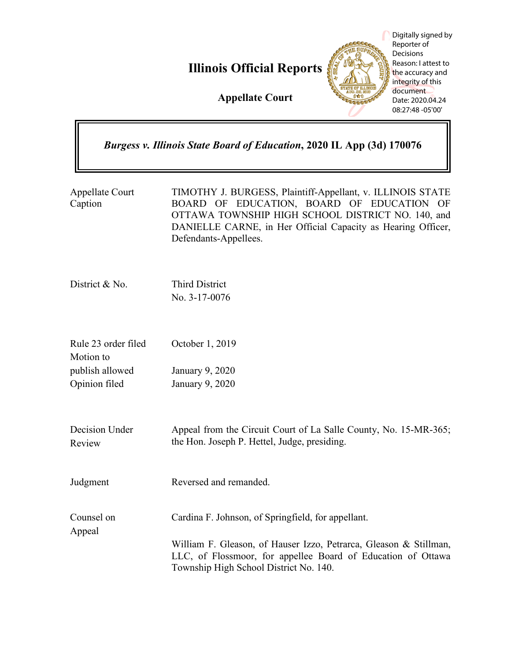**Illinois Official Reports**

**Appellate Court**

Digitally signed by Reporter of Decisions Reason: I attest to the accuracy and integrity of this document Date: 2020.04.24 08:27:48 -05'00'

# *Burgess v. Illinois State Board of Education***, 2020 IL App (3d) 170076**

Appellate Court Caption TIMOTHY J. BURGESS, Plaintiff-Appellant, v. ILLINOIS STATE BOARD OF EDUCATION, BOARD OF EDUCATION OF OTTAWA TOWNSHIP HIGH SCHOOL DISTRICT NO. 140, and DANIELLE CARNE, in Her Official Capacity as Hearing Officer, Defendants-Appellees.

District & No. Third District No. 3-17-0076

Rule 23 order filed Motion to publish allowed Opinion filed October 1, 2019 January 9, 2020 January 9, 2020

Decision Under Review

Appeal

Judgment Reversed and remanded.

Counsel on Cardina F. Johnson, of Springfield, for appellant.

the Hon. Joseph P. Hettel, Judge, presiding.

William F. Gleason, of Hauser Izzo, Petrarca, Gleason & Stillman, LLC, of Flossmoor, for appellee Board of Education of Ottawa Township High School District No. 140.

Appeal from the Circuit Court of La Salle County, No. 15-MR-365;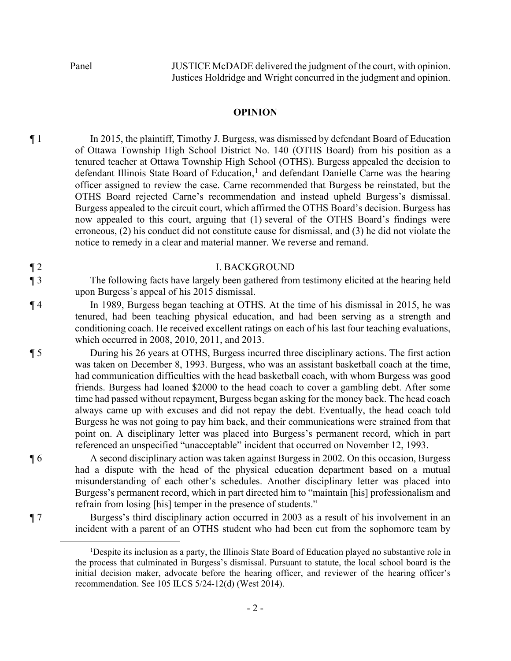Panel JUSTICE McDADE delivered the judgment of the court, with opinion. Justices Holdridge and Wright concurred in the judgment and opinion.

### **OPINION**

¶ 1 In 2015, the plaintiff, Timothy J. Burgess, was dismissed by defendant Board of Education of Ottawa Township High School District No. 140 (OTHS Board) from his position as a tenured teacher at Ottawa Township High School (OTHS). Burgess appealed the decision to defendant Illinois State Board of Education,<sup>1</sup> and defendant Danielle Carne was the hearing officer assigned to review the case. Carne recommended that Burgess be reinstated, but the OTHS Board rejected Carne's recommendation and instead upheld Burgess's dismissal. Burgess appealed to the circuit court, which affirmed the OTHS Board's decision. Burgess has now appealed to this court, arguing that (1) several of the OTHS Board's findings were erroneous, (2) his conduct did not constitute cause for dismissal, and (3) he did not violate the notice to remedy in a clear and material manner. We reverse and remand.

#### ¶ 2 I. BACKGROUND

¶ 3 The following facts have largely been gathered from testimony elicited at the hearing held upon Burgess's appeal of his 2015 dismissal.

¶ 4 In 1989, Burgess began teaching at OTHS. At the time of his dismissal in 2015, he was tenured, had been teaching physical education, and had been serving as a strength and conditioning coach. He received excellent ratings on each of his last four teaching evaluations, which occurred in 2008, 2010, 2011, and 2013.

¶ 5 During his 26 years at OTHS, Burgess incurred three disciplinary actions. The first action was taken on December 8, 1993. Burgess, who was an assistant basketball coach at the time, had communication difficulties with the head basketball coach, with whom Burgess was good friends. Burgess had loaned \$2000 to the head coach to cover a gambling debt. After some time had passed without repayment, Burgess began asking for the money back. The head coach always came up with excuses and did not repay the debt. Eventually, the head coach told Burgess he was not going to pay him back, and their communications were strained from that point on. A disciplinary letter was placed into Burgess's permanent record, which in part referenced an unspecified "unacceptable" incident that occurred on November 12, 1993.

¶ 6 A second disciplinary action was taken against Burgess in 2002. On this occasion, Burgess had a dispute with the head of the physical education department based on a mutual misunderstanding of each other's schedules. Another disciplinary letter was placed into Burgess's permanent record, which in part directed him to "maintain [his] professionalism and refrain from losing [his] temper in the presence of students."

¶ 7 Burgess's third disciplinary action occurred in 2003 as a result of his involvement in an incident with a parent of an OTHS student who had been cut from the sophomore team by

<sup>&</sup>lt;sup>1</sup>Despite its inclusion as a party, the Illinois State Board of Education played no substantive role in the process that culminated in Burgess's dismissal. Pursuant to statute, the local school board is the initial decision maker, advocate before the hearing officer, and reviewer of the hearing officer's recommendation. See 105 ILCS 5/24-12(d) (West 2014).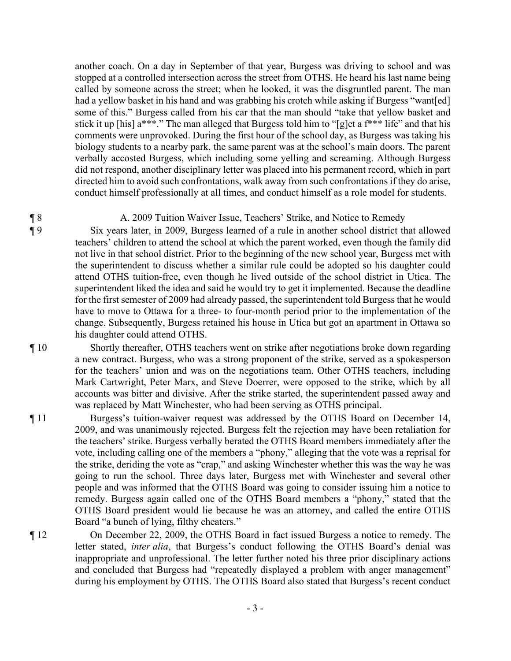another coach. On a day in September of that year, Burgess was driving to school and was stopped at a controlled intersection across the street from OTHS. He heard his last name being called by someone across the street; when he looked, it was the disgruntled parent. The man had a yellow basket in his hand and was grabbing his crotch while asking if Burgess "want[ed] some of this." Burgess called from his car that the man should "take that yellow basket and stick it up [his] a\*\*\*." The man alleged that Burgess told him to "[g]et a f\*\*\* life" and that his comments were unprovoked. During the first hour of the school day, as Burgess was taking his biology students to a nearby park, the same parent was at the school's main doors. The parent verbally accosted Burgess, which including some yelling and screaming. Although Burgess did not respond, another disciplinary letter was placed into his permanent record, which in part directed him to avoid such confrontations, walk away from such confrontations if they do arise, conduct himself professionally at all times, and conduct himself as a role model for students.

### ¶ 8 A. 2009 Tuition Waiver Issue, Teachers' Strike, and Notice to Remedy

¶ 9 Six years later, in 2009, Burgess learned of a rule in another school district that allowed teachers' children to attend the school at which the parent worked, even though the family did not live in that school district. Prior to the beginning of the new school year, Burgess met with the superintendent to discuss whether a similar rule could be adopted so his daughter could attend OTHS tuition-free, even though he lived outside of the school district in Utica. The superintendent liked the idea and said he would try to get it implemented. Because the deadline for the first semester of 2009 had already passed, the superintendent told Burgess that he would have to move to Ottawa for a three- to four-month period prior to the implementation of the change. Subsequently, Burgess retained his house in Utica but got an apartment in Ottawa so his daughter could attend OTHS.

¶ 10 Shortly thereafter, OTHS teachers went on strike after negotiations broke down regarding a new contract. Burgess, who was a strong proponent of the strike, served as a spokesperson for the teachers' union and was on the negotiations team. Other OTHS teachers, including Mark Cartwright, Peter Marx, and Steve Doerrer, were opposed to the strike, which by all accounts was bitter and divisive. After the strike started, the superintendent passed away and was replaced by Matt Winchester, who had been serving as OTHS principal.

¶ 11 Burgess's tuition-waiver request was addressed by the OTHS Board on December 14, 2009, and was unanimously rejected. Burgess felt the rejection may have been retaliation for the teachers' strike. Burgess verbally berated the OTHS Board members immediately after the vote, including calling one of the members a "phony," alleging that the vote was a reprisal for the strike, deriding the vote as "crap," and asking Winchester whether this was the way he was going to run the school. Three days later, Burgess met with Winchester and several other people and was informed that the OTHS Board was going to consider issuing him a notice to remedy. Burgess again called one of the OTHS Board members a "phony," stated that the OTHS Board president would lie because he was an attorney, and called the entire OTHS Board "a bunch of lying, filthy cheaters."

¶ 12 On December 22, 2009, the OTHS Board in fact issued Burgess a notice to remedy. The letter stated, *inter alia*, that Burgess's conduct following the OTHS Board's denial was inappropriate and unprofessional. The letter further noted his three prior disciplinary actions and concluded that Burgess had "repeatedly displayed a problem with anger management" during his employment by OTHS. The OTHS Board also stated that Burgess's recent conduct

- 3 -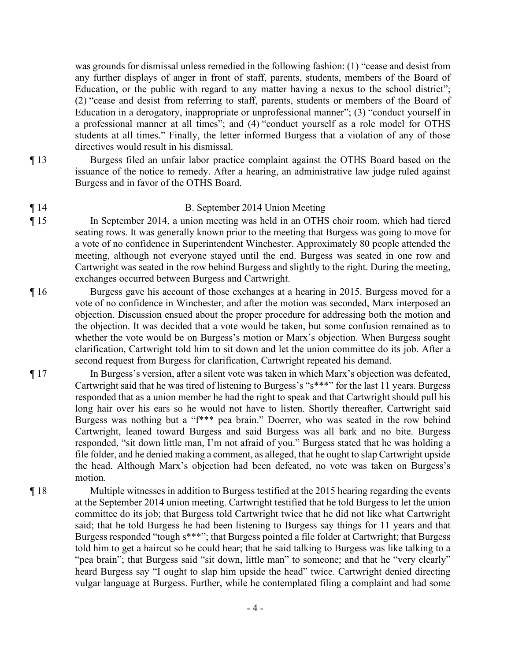was grounds for dismissal unless remedied in the following fashion: (1) "cease and desist from any further displays of anger in front of staff, parents, students, members of the Board of Education, or the public with regard to any matter having a nexus to the school district"; (2) "cease and desist from referring to staff, parents, students or members of the Board of Education in a derogatory, inappropriate or unprofessional manner"; (3) "conduct yourself in a professional manner at all times"; and (4) "conduct yourself as a role model for OTHS students at all times." Finally, the letter informed Burgess that a violation of any of those directives would result in his dismissal.

- ¶ 13 Burgess filed an unfair labor practice complaint against the OTHS Board based on the issuance of the notice to remedy. After a hearing, an administrative law judge ruled against Burgess and in favor of the OTHS Board.
- ¶ 14 B. September 2014 Union Meeting
- ¶ 15 In September 2014, a union meeting was held in an OTHS choir room, which had tiered seating rows. It was generally known prior to the meeting that Burgess was going to move for a vote of no confidence in Superintendent Winchester. Approximately 80 people attended the meeting, although not everyone stayed until the end. Burgess was seated in one row and Cartwright was seated in the row behind Burgess and slightly to the right. During the meeting, exchanges occurred between Burgess and Cartwright.
- ¶ 16 Burgess gave his account of those exchanges at a hearing in 2015. Burgess moved for a vote of no confidence in Winchester, and after the motion was seconded, Marx interposed an objection. Discussion ensued about the proper procedure for addressing both the motion and the objection. It was decided that a vote would be taken, but some confusion remained as to whether the vote would be on Burgess's motion or Marx's objection. When Burgess sought clarification, Cartwright told him to sit down and let the union committee do its job. After a second request from Burgess for clarification, Cartwright repeated his demand.
- ¶ 17 In Burgess's version, after a silent vote was taken in which Marx's objection was defeated, Cartwright said that he was tired of listening to Burgess's "s\*\*\*" for the last 11 years. Burgess responded that as a union member he had the right to speak and that Cartwright should pull his long hair over his ears so he would not have to listen. Shortly thereafter, Cartwright said Burgess was nothing but a "f\*\*\* pea brain." Doerrer, who was seated in the row behind Cartwright, leaned toward Burgess and said Burgess was all bark and no bite. Burgess responded, "sit down little man, I'm not afraid of you." Burgess stated that he was holding a file folder, and he denied making a comment, as alleged, that he ought to slap Cartwright upside the head. Although Marx's objection had been defeated, no vote was taken on Burgess's motion.
- ¶ 18 Multiple witnesses in addition to Burgess testified at the 2015 hearing regarding the events at the September 2014 union meeting. Cartwright testified that he told Burgess to let the union committee do its job; that Burgess told Cartwright twice that he did not like what Cartwright said; that he told Burgess he had been listening to Burgess say things for 11 years and that Burgess responded "tough s\*\*\*"; that Burgess pointed a file folder at Cartwright; that Burgess told him to get a haircut so he could hear; that he said talking to Burgess was like talking to a "pea brain"; that Burgess said "sit down, little man" to someone; and that he "very clearly" heard Burgess say "I ought to slap him upside the head" twice. Cartwright denied directing vulgar language at Burgess. Further, while he contemplated filing a complaint and had some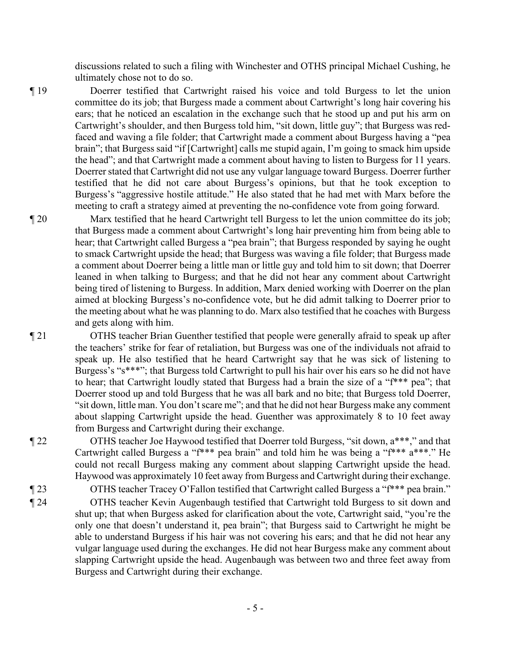discussions related to such a filing with Winchester and OTHS principal Michael Cushing, he ultimately chose not to do so.

¶ 19 Doerrer testified that Cartwright raised his voice and told Burgess to let the union committee do its job; that Burgess made a comment about Cartwright's long hair covering his ears; that he noticed an escalation in the exchange such that he stood up and put his arm on Cartwright's shoulder, and then Burgess told him, "sit down, little guy"; that Burgess was redfaced and waving a file folder; that Cartwright made a comment about Burgess having a "pea brain"; that Burgess said "if [Cartwright] calls me stupid again, I'm going to smack him upside the head"; and that Cartwright made a comment about having to listen to Burgess for 11 years. Doerrer stated that Cartwright did not use any vulgar language toward Burgess. Doerrer further testified that he did not care about Burgess's opinions, but that he took exception to Burgess's "aggressive hostile attitude." He also stated that he had met with Marx before the meeting to craft a strategy aimed at preventing the no-confidence vote from going forward.

¶ 20 Marx testified that he heard Cartwright tell Burgess to let the union committee do its job; that Burgess made a comment about Cartwright's long hair preventing him from being able to hear; that Cartwright called Burgess a "pea brain"; that Burgess responded by saying he ought to smack Cartwright upside the head; that Burgess was waving a file folder; that Burgess made a comment about Doerrer being a little man or little guy and told him to sit down; that Doerrer leaned in when talking to Burgess; and that he did not hear any comment about Cartwright being tired of listening to Burgess. In addition, Marx denied working with Doerrer on the plan aimed at blocking Burgess's no-confidence vote, but he did admit talking to Doerrer prior to the meeting about what he was planning to do. Marx also testified that he coaches with Burgess and gets along with him.

¶ 21 OTHS teacher Brian Guenther testified that people were generally afraid to speak up after the teachers' strike for fear of retaliation, but Burgess was one of the individuals not afraid to speak up. He also testified that he heard Cartwright say that he was sick of listening to Burgess's "s\*\*\*"; that Burgess told Cartwright to pull his hair over his ears so he did not have to hear; that Cartwright loudly stated that Burgess had a brain the size of a "f\*\*\* pea"; that Doerrer stood up and told Burgess that he was all bark and no bite; that Burgess told Doerrer, "sit down, little man. You don't scare me"; and that he did not hear Burgess make any comment about slapping Cartwright upside the head. Guenther was approximately 8 to 10 feet away from Burgess and Cartwright during their exchange.

¶ 22 OTHS teacher Joe Haywood testified that Doerrer told Burgess, "sit down, a\*\*\*," and that Cartwright called Burgess a "f\*\*\* pea brain" and told him he was being a "f\*\*\* a\*\*\*." He could not recall Burgess making any comment about slapping Cartwright upside the head. Haywood was approximately 10 feet away from Burgess and Cartwright during their exchange.

¶ 23 OTHS teacher Tracey O'Fallon testified that Cartwright called Burgess a "f\*\*\* pea brain."

¶ 24 OTHS teacher Kevin Augenbaugh testified that Cartwright told Burgess to sit down and shut up; that when Burgess asked for clarification about the vote, Cartwright said, "you're the only one that doesn't understand it, pea brain"; that Burgess said to Cartwright he might be able to understand Burgess if his hair was not covering his ears; and that he did not hear any vulgar language used during the exchanges. He did not hear Burgess make any comment about slapping Cartwright upside the head. Augenbaugh was between two and three feet away from Burgess and Cartwright during their exchange.

- 5 -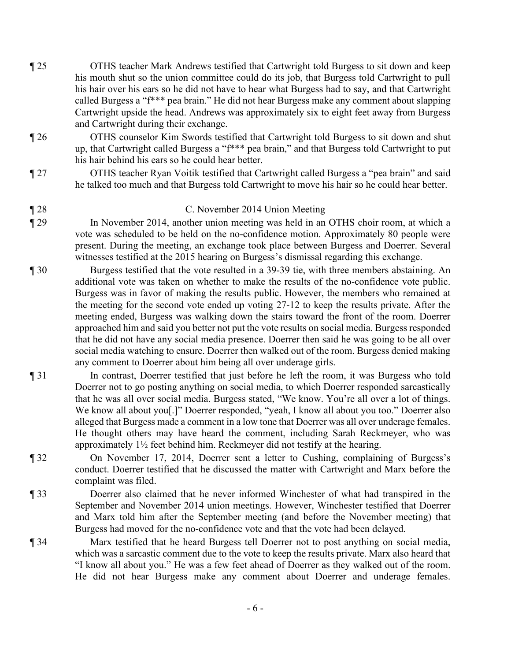- ¶ 25 OTHS teacher Mark Andrews testified that Cartwright told Burgess to sit down and keep his mouth shut so the union committee could do its job, that Burgess told Cartwright to pull his hair over his ears so he did not have to hear what Burgess had to say, and that Cartwright called Burgess a "f\*\*\* pea brain." He did not hear Burgess make any comment about slapping Cartwright upside the head. Andrews was approximately six to eight feet away from Burgess and Cartwright during their exchange.
- ¶ 26 OTHS counselor Kim Swords testified that Cartwright told Burgess to sit down and shut up, that Cartwright called Burgess a "f\*\*\* pea brain," and that Burgess told Cartwright to put his hair behind his ears so he could hear better.
- ¶ 27 OTHS teacher Ryan Voitik testified that Cartwright called Burgess a "pea brain" and said he talked too much and that Burgess told Cartwright to move his hair so he could hear better.
- ¶ 28 C. November 2014 Union Meeting
- ¶ 29 In November 2014, another union meeting was held in an OTHS choir room, at which a vote was scheduled to be held on the no-confidence motion. Approximately 80 people were present. During the meeting, an exchange took place between Burgess and Doerrer. Several witnesses testified at the 2015 hearing on Burgess's dismissal regarding this exchange.
- ¶ 30 Burgess testified that the vote resulted in a 39-39 tie, with three members abstaining. An additional vote was taken on whether to make the results of the no-confidence vote public. Burgess was in favor of making the results public. However, the members who remained at the meeting for the second vote ended up voting 27-12 to keep the results private. After the meeting ended, Burgess was walking down the stairs toward the front of the room. Doerrer approached him and said you better not put the vote results on social media. Burgess responded that he did not have any social media presence. Doerrer then said he was going to be all over social media watching to ensure. Doerrer then walked out of the room. Burgess denied making any comment to Doerrer about him being all over underage girls.
- ¶ 31 In contrast, Doerrer testified that just before he left the room, it was Burgess who told Doerrer not to go posting anything on social media, to which Doerrer responded sarcastically that he was all over social media. Burgess stated, "We know. You're all over a lot of things. We know all about you[.]" Doerrer responded, "yeah, I know all about you too." Doerrer also alleged that Burgess made a comment in a low tone that Doerrer was all over underage females. He thought others may have heard the comment, including Sarah Reckmeyer, who was approximately 1½ feet behind him. Reckmeyer did not testify at the hearing.
- ¶ 32 On November 17, 2014, Doerrer sent a letter to Cushing, complaining of Burgess's conduct. Doerrer testified that he discussed the matter with Cartwright and Marx before the complaint was filed.
- ¶ 33 Doerrer also claimed that he never informed Winchester of what had transpired in the September and November 2014 union meetings. However, Winchester testified that Doerrer and Marx told him after the September meeting (and before the November meeting) that Burgess had moved for the no-confidence vote and that the vote had been delayed.
- ¶ 34 Marx testified that he heard Burgess tell Doerrer not to post anything on social media, which was a sarcastic comment due to the vote to keep the results private. Marx also heard that "I know all about you." He was a few feet ahead of Doerrer as they walked out of the room. He did not hear Burgess make any comment about Doerrer and underage females.

- 6 -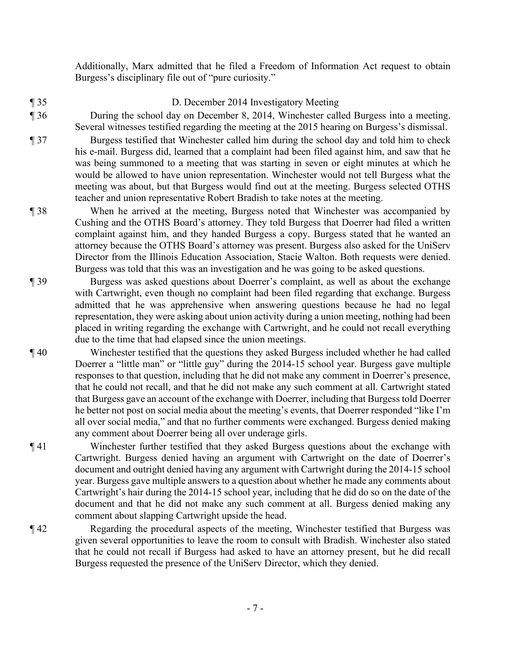Additionally, Marx admitted that he filed a Freedom of Information Act request to obtain Burgess's disciplinary file out of "pure curiosity."

- ¶ 35 D. December 2014 Investigatory Meeting
- 

- ¶ 36 During the school day on December 8, 2014, Winchester called Burgess into a meeting. Several witnesses testified regarding the meeting at the 2015 hearing on Burgess's dismissal.
- ¶ 37 Burgess testified that Winchester called him during the school day and told him to check his e-mail. Burgess did, learned that a complaint had been filed against him, and saw that he was being summoned to a meeting that was starting in seven or eight minutes at which he would be allowed to have union representation. Winchester would not tell Burgess what the meeting was about, but that Burgess would find out at the meeting. Burgess selected OTHS teacher and union representative Robert Bradish to take notes at the meeting.
- ¶ 38 When he arrived at the meeting, Burgess noted that Winchester was accompanied by Cushing and the OTHS Board's attorney. They told Burgess that Doerrer had filed a written complaint against him, and they handed Burgess a copy. Burgess stated that he wanted an attorney because the OTHS Board's attorney was present. Burgess also asked for the UniServ Director from the Illinois Education Association, Stacie Walton. Both requests were denied. Burgess was told that this was an investigation and he was going to be asked questions.
- ¶ 39 Burgess was asked questions about Doerrer's complaint, as well as about the exchange with Cartwright, even though no complaint had been filed regarding that exchange. Burgess admitted that he was apprehensive when answering questions because he had no legal representation, they were asking about union activity during a union meeting, nothing had been placed in writing regarding the exchange with Cartwright, and he could not recall everything due to the time that had elapsed since the union meetings.
- ¶ 40 Winchester testified that the questions they asked Burgess included whether he had called Doerrer a "little man" or "little guy" during the 2014-15 school year. Burgess gave multiple responses to that question, including that he did not make any comment in Doerrer's presence, that he could not recall, and that he did not make any such comment at all. Cartwright stated that Burgess gave an account of the exchange with Doerrer, including that Burgess told Doerrer he better not post on social media about the meeting's events, that Doerrer responded "like I'm all over social media," and that no further comments were exchanged. Burgess denied making any comment about Doerrer being all over underage girls.
- ¶ 41 Winchester further testified that they asked Burgess questions about the exchange with Cartwright. Burgess denied having an argument with Cartwright on the date of Doerrer's document and outright denied having any argument with Cartwright during the 2014-15 school year. Burgess gave multiple answers to a question about whether he made any comments about Cartwright's hair during the 2014-15 school year, including that he did do so on the date of the document and that he did not make any such comment at all. Burgess denied making any comment about slapping Cartwright upside the head.
- ¶ 42 Regarding the procedural aspects of the meeting, Winchester testified that Burgess was given several opportunities to leave the room to consult with Bradish. Winchester also stated that he could not recall if Burgess had asked to have an attorney present, but he did recall Burgess requested the presence of the UniServ Director, which they denied.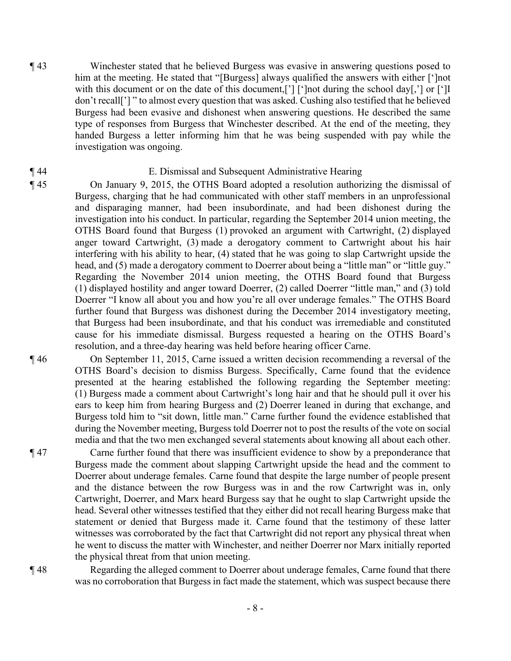¶ 43 Winchester stated that he believed Burgess was evasive in answering questions posed to him at the meeting. He stated that "[Burgess] always qualified the answers with either [']not with this document or on the date of this document,<sup>[']</sup> [']not during the school day[,'] or [']I don't recall['] " to almost every question that was asked. Cushing also testified that he believed Burgess had been evasive and dishonest when answering questions. He described the same type of responses from Burgess that Winchester described. At the end of the meeting, they handed Burgess a letter informing him that he was being suspended with pay while the investigation was ongoing.

## ¶ 44 E. Dismissal and Subsequent Administrative Hearing

¶ 45 On January 9, 2015, the OTHS Board adopted a resolution authorizing the dismissal of Burgess, charging that he had communicated with other staff members in an unprofessional and disparaging manner, had been insubordinate, and had been dishonest during the investigation into his conduct. In particular, regarding the September 2014 union meeting, the OTHS Board found that Burgess (1) provoked an argument with Cartwright, (2) displayed anger toward Cartwright, (3) made a derogatory comment to Cartwright about his hair interfering with his ability to hear, (4) stated that he was going to slap Cartwright upside the head, and (5) made a derogatory comment to Doerrer about being a "little man" or "little guy." Regarding the November 2014 union meeting, the OTHS Board found that Burgess (1) displayed hostility and anger toward Doerrer, (2) called Doerrer "little man," and (3) told Doerrer "I know all about you and how you're all over underage females." The OTHS Board further found that Burgess was dishonest during the December 2014 investigatory meeting, that Burgess had been insubordinate, and that his conduct was irremediable and constituted cause for his immediate dismissal. Burgess requested a hearing on the OTHS Board's resolution, and a three-day hearing was held before hearing officer Carne.

¶ 46 On September 11, 2015, Carne issued a written decision recommending a reversal of the OTHS Board's decision to dismiss Burgess. Specifically, Carne found that the evidence presented at the hearing established the following regarding the September meeting: (1) Burgess made a comment about Cartwright's long hair and that he should pull it over his ears to keep him from hearing Burgess and (2) Doerrer leaned in during that exchange, and Burgess told him to "sit down, little man." Carne further found the evidence established that during the November meeting, Burgess told Doerrer not to post the results of the vote on social media and that the two men exchanged several statements about knowing all about each other.

¶ 47 Carne further found that there was insufficient evidence to show by a preponderance that Burgess made the comment about slapping Cartwright upside the head and the comment to Doerrer about underage females. Carne found that despite the large number of people present and the distance between the row Burgess was in and the row Cartwright was in, only Cartwright, Doerrer, and Marx heard Burgess say that he ought to slap Cartwright upside the head. Several other witnesses testified that they either did not recall hearing Burgess make that statement or denied that Burgess made it. Carne found that the testimony of these latter witnesses was corroborated by the fact that Cartwright did not report any physical threat when he went to discuss the matter with Winchester, and neither Doerrer nor Marx initially reported the physical threat from that union meeting.

¶ 48 Regarding the alleged comment to Doerrer about underage females, Carne found that there was no corroboration that Burgess in fact made the statement, which was suspect because there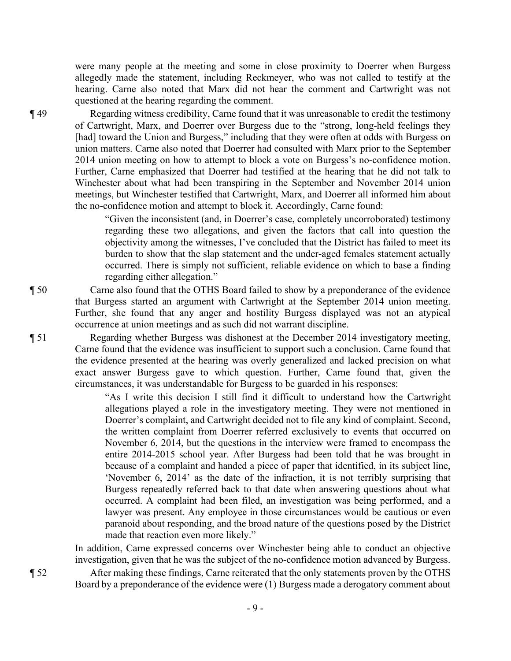were many people at the meeting and some in close proximity to Doerrer when Burgess allegedly made the statement, including Reckmeyer, who was not called to testify at the hearing. Carne also noted that Marx did not hear the comment and Cartwright was not questioned at the hearing regarding the comment.

¶ 49 Regarding witness credibility, Carne found that it was unreasonable to credit the testimony of Cartwright, Marx, and Doerrer over Burgess due to the "strong, long-held feelings they [had] toward the Union and Burgess," including that they were often at odds with Burgess on union matters. Carne also noted that Doerrer had consulted with Marx prior to the September 2014 union meeting on how to attempt to block a vote on Burgess's no-confidence motion. Further, Carne emphasized that Doerrer had testified at the hearing that he did not talk to Winchester about what had been transpiring in the September and November 2014 union meetings, but Winchester testified that Cartwright, Marx, and Doerrer all informed him about the no-confidence motion and attempt to block it. Accordingly, Carne found:

> "Given the inconsistent (and, in Doerrer's case, completely uncorroborated) testimony regarding these two allegations, and given the factors that call into question the objectivity among the witnesses, I've concluded that the District has failed to meet its burden to show that the slap statement and the under-aged females statement actually occurred. There is simply not sufficient, reliable evidence on which to base a finding regarding either allegation."

¶ 50 Carne also found that the OTHS Board failed to show by a preponderance of the evidence that Burgess started an argument with Cartwright at the September 2014 union meeting. Further, she found that any anger and hostility Burgess displayed was not an atypical occurrence at union meetings and as such did not warrant discipline.

¶ 51 Regarding whether Burgess was dishonest at the December 2014 investigatory meeting, Carne found that the evidence was insufficient to support such a conclusion. Carne found that the evidence presented at the hearing was overly generalized and lacked precision on what exact answer Burgess gave to which question. Further, Carne found that, given the circumstances, it was understandable for Burgess to be guarded in his responses:

> "As I write this decision I still find it difficult to understand how the Cartwright allegations played a role in the investigatory meeting. They were not mentioned in Doerrer's complaint, and Cartwright decided not to file any kind of complaint. Second, the written complaint from Doerrer referred exclusively to events that occurred on November 6, 2014, but the questions in the interview were framed to encompass the entire 2014-2015 school year. After Burgess had been told that he was brought in because of a complaint and handed a piece of paper that identified, in its subject line, 'November 6, 2014' as the date of the infraction, it is not terribly surprising that Burgess repeatedly referred back to that date when answering questions about what occurred. A complaint had been filed, an investigation was being performed, and a lawyer was present. Any employee in those circumstances would be cautious or even paranoid about responding, and the broad nature of the questions posed by the District made that reaction even more likely."

In addition, Carne expressed concerns over Winchester being able to conduct an objective investigation, given that he was the subject of the no-confidence motion advanced by Burgess.

¶ 52 After making these findings, Carne reiterated that the only statements proven by the OTHS Board by a preponderance of the evidence were (1) Burgess made a derogatory comment about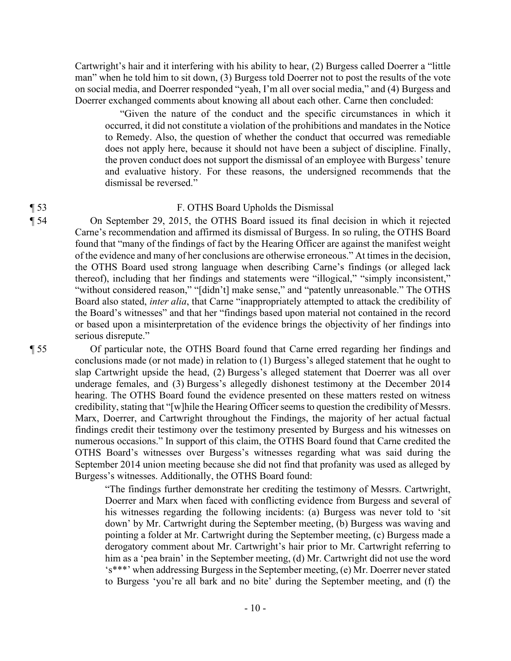Cartwright's hair and it interfering with his ability to hear, (2) Burgess called Doerrer a "little man" when he told him to sit down, (3) Burgess told Doerrer not to post the results of the vote on social media, and Doerrer responded "yeah, I'm all over social media," and (4) Burgess and Doerrer exchanged comments about knowing all about each other. Carne then concluded:

"Given the nature of the conduct and the specific circumstances in which it occurred, it did not constitute a violation of the prohibitions and mandates in the Notice to Remedy. Also, the question of whether the conduct that occurred was remediable does not apply here, because it should not have been a subject of discipline. Finally, the proven conduct does not support the dismissal of an employee with Burgess' tenure and evaluative history. For these reasons, the undersigned recommends that the dismissal be reversed."

### ¶ 53 F. OTHS Board Upholds the Dismissal

¶ 54 On September 29, 2015, the OTHS Board issued its final decision in which it rejected Carne's recommendation and affirmed its dismissal of Burgess. In so ruling, the OTHS Board found that "many of the findings of fact by the Hearing Officer are against the manifest weight of the evidence and many of her conclusions are otherwise erroneous." At times in the decision, the OTHS Board used strong language when describing Carne's findings (or alleged lack thereof), including that her findings and statements were "illogical," "simply inconsistent," "without considered reason," "[didn't] make sense," and "patently unreasonable." The OTHS Board also stated, *inter alia*, that Carne "inappropriately attempted to attack the credibility of the Board's witnesses" and that her "findings based upon material not contained in the record or based upon a misinterpretation of the evidence brings the objectivity of her findings into serious disrepute."

¶ 55 Of particular note, the OTHS Board found that Carne erred regarding her findings and conclusions made (or not made) in relation to (1) Burgess's alleged statement that he ought to slap Cartwright upside the head, (2) Burgess's alleged statement that Doerrer was all over underage females, and (3) Burgess's allegedly dishonest testimony at the December 2014 hearing. The OTHS Board found the evidence presented on these matters rested on witness credibility, stating that "[w]hile the Hearing Officer seems to question the credibility of Messrs. Marx, Doerrer, and Cartwright throughout the Findings, the majority of her actual factual findings credit their testimony over the testimony presented by Burgess and his witnesses on numerous occasions." In support of this claim, the OTHS Board found that Carne credited the OTHS Board's witnesses over Burgess's witnesses regarding what was said during the September 2014 union meeting because she did not find that profanity was used as alleged by Burgess's witnesses. Additionally, the OTHS Board found:

> "The findings further demonstrate her crediting the testimony of Messrs. Cartwright, Doerrer and Marx when faced with conflicting evidence from Burgess and several of his witnesses regarding the following incidents: (a) Burgess was never told to 'sit down' by Mr. Cartwright during the September meeting, (b) Burgess was waving and pointing a folder at Mr. Cartwright during the September meeting, (c) Burgess made a derogatory comment about Mr. Cartwright's hair prior to Mr. Cartwright referring to him as a 'pea brain' in the September meeting, (d) Mr. Cartwright did not use the word 's\*\*\*' when addressing Burgess in the September meeting, (e) Mr. Doerrer never stated to Burgess 'you're all bark and no bite' during the September meeting, and (f) the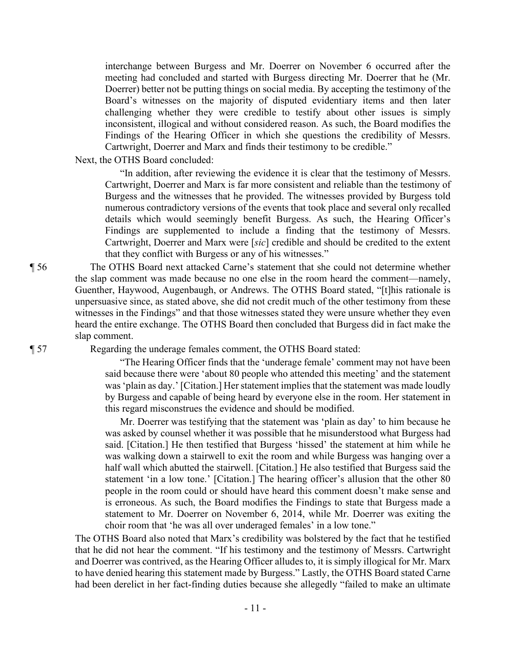interchange between Burgess and Mr. Doerrer on November 6 occurred after the meeting had concluded and started with Burgess directing Mr. Doerrer that he (Mr. Doerrer) better not be putting things on social media. By accepting the testimony of the Board's witnesses on the majority of disputed evidentiary items and then later challenging whether they were credible to testify about other issues is simply inconsistent, illogical and without considered reason. As such, the Board modifies the Findings of the Hearing Officer in which she questions the credibility of Messrs. Cartwright, Doerrer and Marx and finds their testimony to be credible."

Next, the OTHS Board concluded:

"In addition, after reviewing the evidence it is clear that the testimony of Messrs. Cartwright, Doerrer and Marx is far more consistent and reliable than the testimony of Burgess and the witnesses that he provided. The witnesses provided by Burgess told numerous contradictory versions of the events that took place and several only recalled details which would seemingly benefit Burgess. As such, the Hearing Officer's Findings are supplemented to include a finding that the testimony of Messrs. Cartwright, Doerrer and Marx were [*sic*] credible and should be credited to the extent that they conflict with Burgess or any of his witnesses."

¶ 56 The OTHS Board next attacked Carne's statement that she could not determine whether the slap comment was made because no one else in the room heard the comment—namely, Guenther, Haywood, Augenbaugh, or Andrews. The OTHS Board stated, "[t]his rationale is unpersuasive since, as stated above, she did not credit much of the other testimony from these witnesses in the Findings" and that those witnesses stated they were unsure whether they even heard the entire exchange. The OTHS Board then concluded that Burgess did in fact make the slap comment.

¶ 57 Regarding the underage females comment, the OTHS Board stated:

"The Hearing Officer finds that the 'underage female' comment may not have been said because there were 'about 80 people who attended this meeting' and the statement was 'plain as day.' [Citation.] Her statement implies that the statement was made loudly by Burgess and capable of being heard by everyone else in the room. Her statement in this regard misconstrues the evidence and should be modified.

Mr. Doerrer was testifying that the statement was 'plain as day' to him because he was asked by counsel whether it was possible that he misunderstood what Burgess had said. [Citation.] He then testified that Burgess 'hissed' the statement at him while he was walking down a stairwell to exit the room and while Burgess was hanging over a half wall which abutted the stairwell. [Citation.] He also testified that Burgess said the statement 'in a low tone.' [Citation.] The hearing officer's allusion that the other 80 people in the room could or should have heard this comment doesn't make sense and is erroneous. As such, the Board modifies the Findings to state that Burgess made a statement to Mr. Doerrer on November 6, 2014, while Mr. Doerrer was exiting the choir room that 'he was all over underaged females' in a low tone."

The OTHS Board also noted that Marx's credibility was bolstered by the fact that he testified that he did not hear the comment. "If his testimony and the testimony of Messrs. Cartwright and Doerrer was contrived, as the Hearing Officer alludes to, it is simply illogical for Mr. Marx to have denied hearing this statement made by Burgess." Lastly, the OTHS Board stated Carne had been derelict in her fact-finding duties because she allegedly "failed to make an ultimate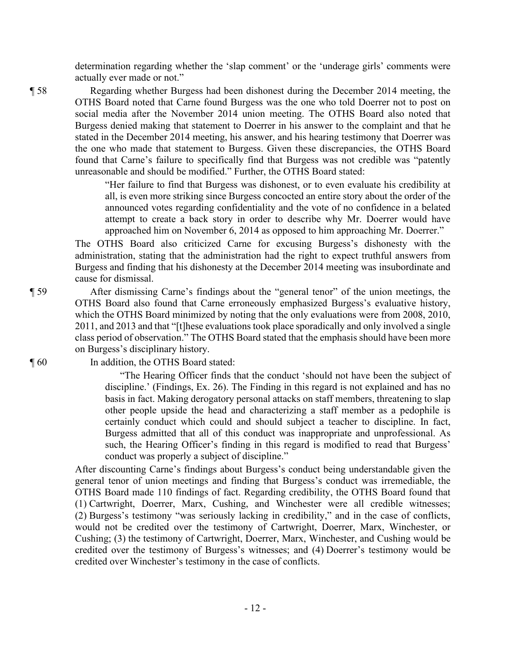determination regarding whether the 'slap comment' or the 'underage girls' comments were actually ever made or not."

¶ 58 Regarding whether Burgess had been dishonest during the December 2014 meeting, the OTHS Board noted that Carne found Burgess was the one who told Doerrer not to post on social media after the November 2014 union meeting. The OTHS Board also noted that Burgess denied making that statement to Doerrer in his answer to the complaint and that he stated in the December 2014 meeting, his answer, and his hearing testimony that Doerrer was the one who made that statement to Burgess. Given these discrepancies, the OTHS Board found that Carne's failure to specifically find that Burgess was not credible was "patently unreasonable and should be modified." Further, the OTHS Board stated:

> "Her failure to find that Burgess was dishonest, or to even evaluate his credibility at all, is even more striking since Burgess concocted an entire story about the order of the announced votes regarding confidentiality and the vote of no confidence in a belated attempt to create a back story in order to describe why Mr. Doerrer would have approached him on November 6, 2014 as opposed to him approaching Mr. Doerrer."

The OTHS Board also criticized Carne for excusing Burgess's dishonesty with the administration, stating that the administration had the right to expect truthful answers from Burgess and finding that his dishonesty at the December 2014 meeting was insubordinate and cause for dismissal.

¶ 59 After dismissing Carne's findings about the "general tenor" of the union meetings, the OTHS Board also found that Carne erroneously emphasized Burgess's evaluative history, which the OTHS Board minimized by noting that the only evaluations were from 2008, 2010, 2011, and 2013 and that "[t]hese evaluations took place sporadically and only involved a single class period of observation." The OTHS Board stated that the emphasis should have been more on Burgess's disciplinary history.

¶ 60 In addition, the OTHS Board stated:

"The Hearing Officer finds that the conduct 'should not have been the subject of discipline.' (Findings, Ex. 26). The Finding in this regard is not explained and has no basis in fact. Making derogatory personal attacks on staff members, threatening to slap other people upside the head and characterizing a staff member as a pedophile is certainly conduct which could and should subject a teacher to discipline. In fact, Burgess admitted that all of this conduct was inappropriate and unprofessional. As such, the Hearing Officer's finding in this regard is modified to read that Burgess' conduct was properly a subject of discipline."

After discounting Carne's findings about Burgess's conduct being understandable given the general tenor of union meetings and finding that Burgess's conduct was irremediable, the OTHS Board made 110 findings of fact. Regarding credibility, the OTHS Board found that (1) Cartwright, Doerrer, Marx, Cushing, and Winchester were all credible witnesses; (2) Burgess's testimony "was seriously lacking in credibility," and in the case of conflicts, would not be credited over the testimony of Cartwright, Doerrer, Marx, Winchester, or Cushing; (3) the testimony of Cartwright, Doerrer, Marx, Winchester, and Cushing would be credited over the testimony of Burgess's witnesses; and (4) Doerrer's testimony would be credited over Winchester's testimony in the case of conflicts.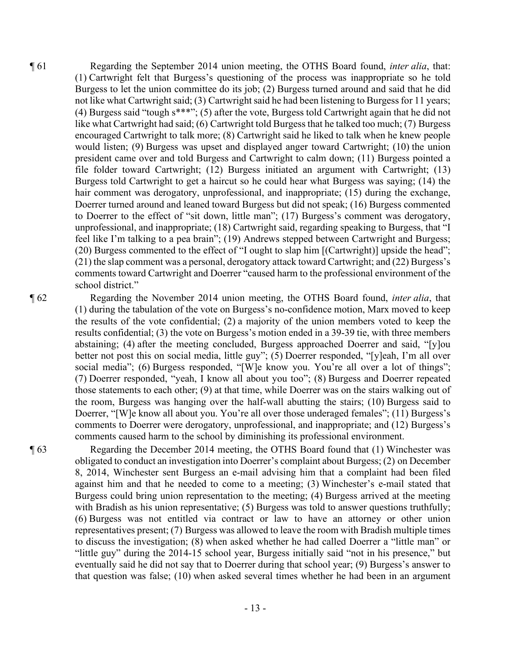¶ 61 Regarding the September 2014 union meeting, the OTHS Board found, *inter alia*, that: (1) Cartwright felt that Burgess's questioning of the process was inappropriate so he told Burgess to let the union committee do its job; (2) Burgess turned around and said that he did not like what Cartwright said; (3) Cartwright said he had been listening to Burgess for 11 years; (4) Burgess said "tough s\*\*\*"; (5) after the vote, Burgess told Cartwright again that he did not like what Cartwright had said; (6) Cartwright told Burgess that he talked too much; (7) Burgess encouraged Cartwright to talk more; (8) Cartwright said he liked to talk when he knew people would listen; (9) Burgess was upset and displayed anger toward Cartwright; (10) the union president came over and told Burgess and Cartwright to calm down; (11) Burgess pointed a file folder toward Cartwright; (12) Burgess initiated an argument with Cartwright; (13) Burgess told Cartwright to get a haircut so he could hear what Burgess was saying; (14) the hair comment was derogatory, unprofessional, and inappropriate; (15) during the exchange, Doerrer turned around and leaned toward Burgess but did not speak; (16) Burgess commented to Doerrer to the effect of "sit down, little man"; (17) Burgess's comment was derogatory, unprofessional, and inappropriate; (18) Cartwright said, regarding speaking to Burgess, that "I feel like I'm talking to a pea brain"; (19) Andrews stepped between Cartwright and Burgess; (20) Burgess commented to the effect of "I ought to slap him [(Cartwright)] upside the head"; (21) the slap comment was a personal, derogatory attack toward Cartwright; and (22) Burgess's comments toward Cartwright and Doerrer "caused harm to the professional environment of the school district."

¶ 62 Regarding the November 2014 union meeting, the OTHS Board found, *inter alia*, that (1) during the tabulation of the vote on Burgess's no-confidence motion, Marx moved to keep the results of the vote confidential; (2) a majority of the union members voted to keep the results confidential; (3) the vote on Burgess's motion ended in a 39-39 tie, with three members abstaining; (4) after the meeting concluded, Burgess approached Doerrer and said, "[y]ou better not post this on social media, little guy"; (5) Doerrer responded, "[y]eah, I'm all over social media"; (6) Burgess responded, "[W]e know you. You're all over a lot of things"; (7) Doerrer responded, "yeah, I know all about you too"; (8) Burgess and Doerrer repeated those statements to each other; (9) at that time, while Doerrer was on the stairs walking out of the room, Burgess was hanging over the half-wall abutting the stairs; (10) Burgess said to Doerrer, "[W]e know all about you. You're all over those underaged females"; (11) Burgess's comments to Doerrer were derogatory, unprofessional, and inappropriate; and (12) Burgess's comments caused harm to the school by diminishing its professional environment.

¶ 63 Regarding the December 2014 meeting, the OTHS Board found that (1) Winchester was obligated to conduct an investigation into Doerrer's complaint about Burgess; (2) on December 8, 2014, Winchester sent Burgess an e-mail advising him that a complaint had been filed against him and that he needed to come to a meeting; (3) Winchester's e-mail stated that Burgess could bring union representation to the meeting; (4) Burgess arrived at the meeting with Bradish as his union representative; (5) Burgess was told to answer questions truthfully; (6) Burgess was not entitled via contract or law to have an attorney or other union representatives present; (7) Burgess was allowed to leave the room with Bradish multiple times to discuss the investigation; (8) when asked whether he had called Doerrer a "little man" or "little guy" during the 2014-15 school year, Burgess initially said "not in his presence," but eventually said he did not say that to Doerrer during that school year; (9) Burgess's answer to that question was false; (10) when asked several times whether he had been in an argument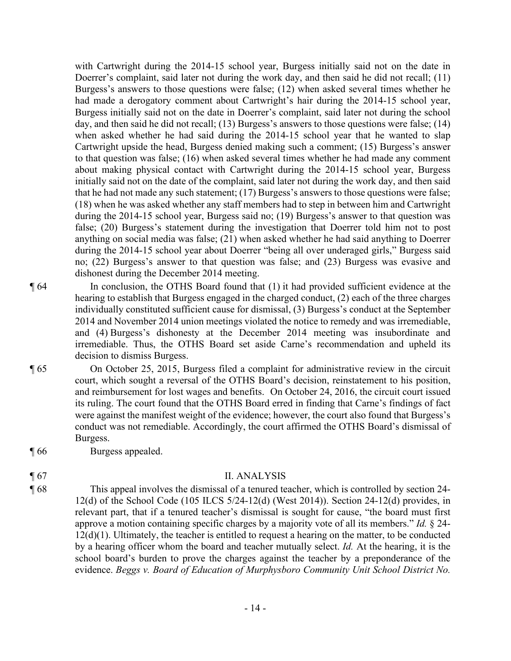with Cartwright during the 2014-15 school year, Burgess initially said not on the date in Doerrer's complaint, said later not during the work day, and then said he did not recall; (11) Burgess's answers to those questions were false; (12) when asked several times whether he had made a derogatory comment about Cartwright's hair during the 2014-15 school year, Burgess initially said not on the date in Doerrer's complaint, said later not during the school day, and then said he did not recall; (13) Burgess's answers to those questions were false; (14) when asked whether he had said during the 2014-15 school year that he wanted to slap Cartwright upside the head, Burgess denied making such a comment; (15) Burgess's answer to that question was false; (16) when asked several times whether he had made any comment about making physical contact with Cartwright during the 2014-15 school year, Burgess initially said not on the date of the complaint, said later not during the work day, and then said that he had not made any such statement; (17) Burgess's answers to those questions were false; (18) when he was asked whether any staff members had to step in between him and Cartwright during the 2014-15 school year, Burgess said no; (19) Burgess's answer to that question was false; (20) Burgess's statement during the investigation that Doerrer told him not to post anything on social media was false; (21) when asked whether he had said anything to Doerrer during the 2014-15 school year about Doerrer "being all over underaged girls," Burgess said no; (22) Burgess's answer to that question was false; and (23) Burgess was evasive and dishonest during the December 2014 meeting.

¶ 64 In conclusion, the OTHS Board found that (1) it had provided sufficient evidence at the hearing to establish that Burgess engaged in the charged conduct, (2) each of the three charges individually constituted sufficient cause for dismissal, (3) Burgess's conduct at the September 2014 and November 2014 union meetings violated the notice to remedy and was irremediable, and (4) Burgess's dishonesty at the December 2014 meeting was insubordinate and irremediable. Thus, the OTHS Board set aside Carne's recommendation and upheld its decision to dismiss Burgess.

- ¶ 65 On October 25, 2015, Burgess filed a complaint for administrative review in the circuit court, which sought a reversal of the OTHS Board's decision, reinstatement to his position, and reimbursement for lost wages and benefits. On October 24, 2016, the circuit court issued its ruling. The court found that the OTHS Board erred in finding that Carne's findings of fact were against the manifest weight of the evidence; however, the court also found that Burgess's conduct was not remediable. Accordingly, the court affirmed the OTHS Board's dismissal of Burgess.
- ¶ 66 Burgess appealed.

- ¶ 67 II. ANALYSIS
- ¶ 68 This appeal involves the dismissal of a tenured teacher, which is controlled by section 24- 12(d) of the School Code (105 ILCS 5/24-12(d) (West 2014)). Section 24-12(d) provides, in relevant part, that if a tenured teacher's dismissal is sought for cause, "the board must first approve a motion containing specific charges by a majority vote of all its members." *Id.* § 24- 12(d)(1). Ultimately, the teacher is entitled to request a hearing on the matter, to be conducted by a hearing officer whom the board and teacher mutually select. *Id.* At the hearing, it is the school board's burden to prove the charges against the teacher by a preponderance of the evidence. *Beggs v. Board of Education of Murphysboro Community Unit School District No.* 
	- 14 -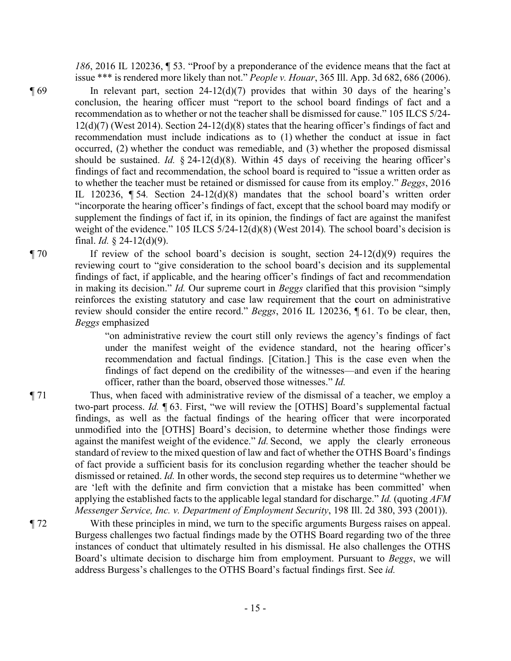*186*, 2016 IL 120236, ¶ 53. "Proof by a preponderance of the evidence means that the fact at issue \*\*\* is rendered more likely than not." *People v. Houar*, 365 Ill. App. 3d 682, 686 (2006).

 $\P$  69 In relevant part, section 24-12(d)(7) provides that within 30 days of the hearing's conclusion, the hearing officer must "report to the school board findings of fact and a recommendation as to whether or not the teacher shall be dismissed for cause." 105 ILCS 5/24- 12(d)(7) (West 2014). Section 24-12(d)(8) states that the hearing officer's findings of fact and recommendation must include indications as to (1) whether the conduct at issue in fact occurred, (2) whether the conduct was remediable, and (3) whether the proposed dismissal should be sustained. *Id.* § 24-12(d)(8). Within 45 days of receiving the hearing officer's findings of fact and recommendation, the school board is required to "issue a written order as to whether the teacher must be retained or dismissed for cause from its employ." *Beggs*, 2016 IL 120236, ¶ 54*.* Section 24-12(d)(8) mandates that the school board's written order "incorporate the hearing officer's findings of fact, except that the school board may modify or supplement the findings of fact if, in its opinion, the findings of fact are against the manifest weight of the evidence." 105 ILCS 5/24-12(d)(8) (West 2014)*.* The school board's decision is final. *Id.* § 24-12(d)(9).

 $\P$  70 If review of the school board's decision is sought, section 24-12(d)(9) requires the reviewing court to "give consideration to the school board's decision and its supplemental findings of fact, if applicable, and the hearing officer's findings of fact and recommendation in making its decision." *Id.* Our supreme court in *Beggs* clarified that this provision "simply reinforces the existing statutory and case law requirement that the court on administrative review should consider the entire record." *Beggs*, 2016 IL 120236, ¶ 61. To be clear, then, *Beggs* emphasized

> "on administrative review the court still only reviews the agency's findings of fact under the manifest weight of the evidence standard, not the hearing officer's recommendation and factual findings. [Citation.] This is the case even when the findings of fact depend on the credibility of the witnesses—and even if the hearing officer, rather than the board, observed those witnesses." *Id.*

¶ 71 Thus, when faced with administrative review of the dismissal of a teacher, we employ a two-part process. *Id.* ¶ 63. First, "we will review the [OTHS] Board's supplemental factual findings, as well as the factual findings of the hearing officer that were incorporated unmodified into the [OTHS] Board's decision, to determine whether those findings were against the manifest weight of the evidence." *Id.* Second, we apply the clearly erroneous standard of review to the mixed question of law and fact of whether the OTHS Board's findings of fact provide a sufficient basis for its conclusion regarding whether the teacher should be dismissed or retained. *Id.* In other words, the second step requires us to determine "whether we are 'left with the definite and firm conviction that a mistake has been committed' when applying the established facts to the applicable legal standard for discharge." *Id.* (quoting *AFM Messenger Service, Inc. v. Department of Employment Security*, 198 Ill. 2d 380, 393 (2001)).

¶ 72 With these principles in mind, we turn to the specific arguments Burgess raises on appeal. Burgess challenges two factual findings made by the OTHS Board regarding two of the three instances of conduct that ultimately resulted in his dismissal. He also challenges the OTHS Board's ultimate decision to discharge him from employment. Pursuant to *Beggs*, we will address Burgess's challenges to the OTHS Board's factual findings first. See *id.*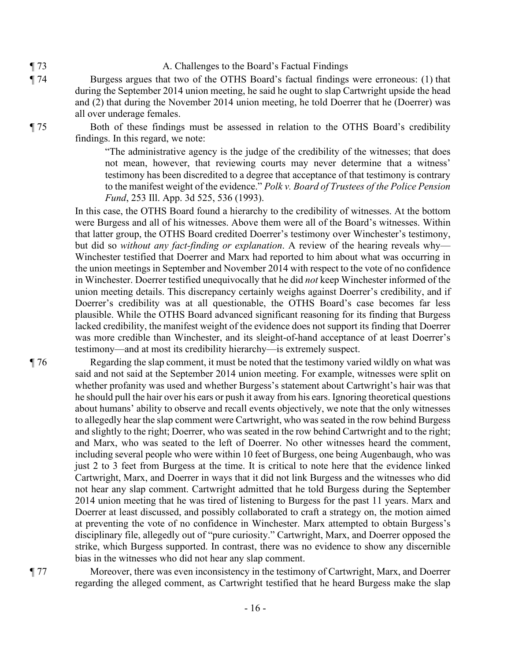- ¶ 73 A. Challenges to the Board's Factual Findings
- ¶ 74 Burgess argues that two of the OTHS Board's factual findings were erroneous: (1) that during the September 2014 union meeting, he said he ought to slap Cartwright upside the head and (2) that during the November 2014 union meeting, he told Doerrer that he (Doerrer) was all over underage females.

¶ 75 Both of these findings must be assessed in relation to the OTHS Board's credibility findings. In this regard, we note:

> "The administrative agency is the judge of the credibility of the witnesses; that does not mean, however, that reviewing courts may never determine that a witness' testimony has been discredited to a degree that acceptance of that testimony is contrary to the manifest weight of the evidence." *Polk v. Board of Trustees of the Police Pension Fund*, 253 Ill. App. 3d 525, 536 (1993).

In this case, the OTHS Board found a hierarchy to the credibility of witnesses. At the bottom were Burgess and all of his witnesses. Above them were all of the Board's witnesses. Within that latter group, the OTHS Board credited Doerrer's testimony over Winchester's testimony, but did so *without any fact-finding or explanation*. A review of the hearing reveals why— Winchester testified that Doerrer and Marx had reported to him about what was occurring in the union meetings in September and November 2014 with respect to the vote of no confidence in Winchester. Doerrer testified unequivocally that he did *not* keep Winchester informed of the union meeting details. This discrepancy certainly weighs against Doerrer's credibility, and if Doerrer's credibility was at all questionable, the OTHS Board's case becomes far less plausible. While the OTHS Board advanced significant reasoning for its finding that Burgess lacked credibility, the manifest weight of the evidence does not support its finding that Doerrer was more credible than Winchester, and its sleight-of-hand acceptance of at least Doerrer's testimony—and at most its credibility hierarchy—is extremely suspect.

¶ 76 Regarding the slap comment, it must be noted that the testimony varied wildly on what was said and not said at the September 2014 union meeting. For example, witnesses were split on whether profanity was used and whether Burgess's statement about Cartwright's hair was that he should pull the hair over his ears or push it away from his ears. Ignoring theoretical questions about humans' ability to observe and recall events objectively, we note that the only witnesses to allegedly hear the slap comment were Cartwright, who was seated in the row behind Burgess and slightly to the right; Doerrer, who was seated in the row behind Cartwright and to the right; and Marx, who was seated to the left of Doerrer. No other witnesses heard the comment, including several people who were within 10 feet of Burgess, one being Augenbaugh, who was just 2 to 3 feet from Burgess at the time. It is critical to note here that the evidence linked Cartwright, Marx, and Doerrer in ways that it did not link Burgess and the witnesses who did not hear any slap comment. Cartwright admitted that he told Burgess during the September 2014 union meeting that he was tired of listening to Burgess for the past 11 years. Marx and Doerrer at least discussed, and possibly collaborated to craft a strategy on, the motion aimed at preventing the vote of no confidence in Winchester. Marx attempted to obtain Burgess's disciplinary file, allegedly out of "pure curiosity." Cartwright, Marx, and Doerrer opposed the strike, which Burgess supported. In contrast, there was no evidence to show any discernible bias in the witnesses who did not hear any slap comment.

¶ 77 Moreover, there was even inconsistency in the testimony of Cartwright, Marx, and Doerrer regarding the alleged comment, as Cartwright testified that he heard Burgess make the slap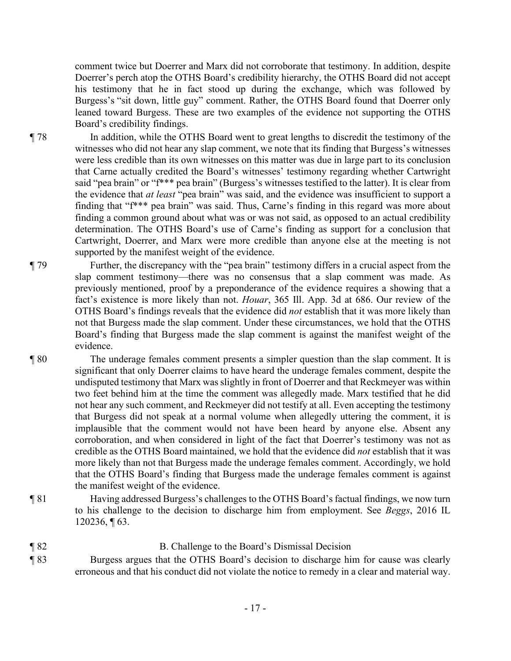comment twice but Doerrer and Marx did not corroborate that testimony. In addition, despite Doerrer's perch atop the OTHS Board's credibility hierarchy, the OTHS Board did not accept his testimony that he in fact stood up during the exchange, which was followed by Burgess's "sit down, little guy" comment. Rather, the OTHS Board found that Doerrer only leaned toward Burgess. These are two examples of the evidence not supporting the OTHS Board's credibility findings.

¶ 78 In addition, while the OTHS Board went to great lengths to discredit the testimony of the witnesses who did not hear any slap comment, we note that its finding that Burgess's witnesses were less credible than its own witnesses on this matter was due in large part to its conclusion that Carne actually credited the Board's witnesses' testimony regarding whether Cartwright said "pea brain" or "f\*\*\* pea brain" (Burgess's witnesses testified to the latter). It is clear from the evidence that *at least* "pea brain" was said, and the evidence was insufficient to support a finding that "f\*\*\* pea brain" was said. Thus, Carne's finding in this regard was more about finding a common ground about what was or was not said, as opposed to an actual credibility determination. The OTHS Board's use of Carne's finding as support for a conclusion that Cartwright, Doerrer, and Marx were more credible than anyone else at the meeting is not supported by the manifest weight of the evidence.

¶ 79 Further, the discrepancy with the "pea brain" testimony differs in a crucial aspect from the slap comment testimony—there was no consensus that a slap comment was made. As previously mentioned, proof by a preponderance of the evidence requires a showing that a fact's existence is more likely than not. *Houar*, 365 Ill. App. 3d at 686. Our review of the OTHS Board's findings reveals that the evidence did *not* establish that it was more likely than not that Burgess made the slap comment. Under these circumstances, we hold that the OTHS Board's finding that Burgess made the slap comment is against the manifest weight of the evidence.

¶ 80 The underage females comment presents a simpler question than the slap comment. It is significant that only Doerrer claims to have heard the underage females comment, despite the undisputed testimony that Marx was slightly in front of Doerrer and that Reckmeyer was within two feet behind him at the time the comment was allegedly made. Marx testified that he did not hear any such comment, and Reckmeyer did not testify at all. Even accepting the testimony that Burgess did not speak at a normal volume when allegedly uttering the comment, it is implausible that the comment would not have been heard by anyone else. Absent any corroboration, and when considered in light of the fact that Doerrer's testimony was not as credible as the OTHS Board maintained, we hold that the evidence did *not* establish that it was more likely than not that Burgess made the underage females comment. Accordingly, we hold that the OTHS Board's finding that Burgess made the underage females comment is against the manifest weight of the evidence.

¶ 81 Having addressed Burgess's challenges to the OTHS Board's factual findings, we now turn to his challenge to the decision to discharge him from employment. See *Beggs*, 2016 IL 120236, ¶ 63.

# ¶ 82 B. Challenge to the Board's Dismissal Decision ¶ 83 Burgess argues that the OTHS Board's decision to discharge him for cause was clearly

erroneous and that his conduct did not violate the notice to remedy in a clear and material way.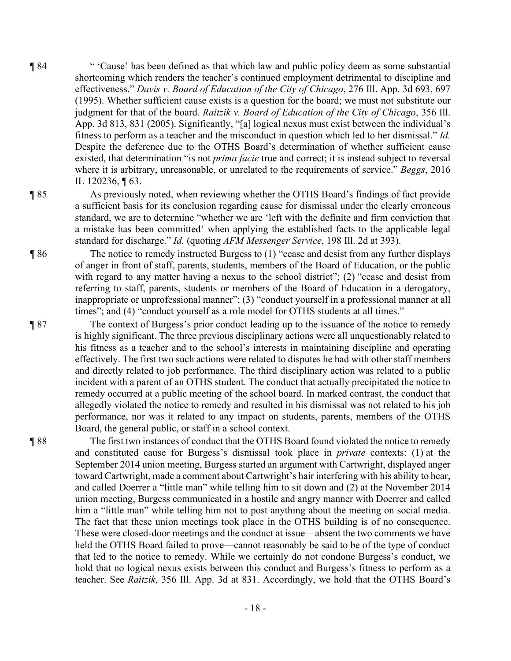¶ 84 " 'Cause' has been defined as that which law and public policy deem as some substantial shortcoming which renders the teacher's continued employment detrimental to discipline and effectiveness." *Davis v. Board of Education of the City of Chicago*, 276 Ill. App. 3d 693, 697 (1995). Whether sufficient cause exists is a question for the board; we must not substitute our judgment for that of the board. *Raitzik v. Board of Education of the City of Chicago*, 356 Ill. App. 3d 813, 831 (2005). Significantly, "[a] logical nexus must exist between the individual's fitness to perform as a teacher and the misconduct in question which led to her dismissal." *Id.* Despite the deference due to the OTHS Board's determination of whether sufficient cause existed, that determination "is not *prima facie* true and correct; it is instead subject to reversal where it is arbitrary, unreasonable, or unrelated to the requirements of service." *Beggs*, 2016 IL 120236, ¶ 63.

standard for discharge." *Id.* (quoting *AFM Messenger Service*, 198 Ill. 2d at 393).

#### ¶ 85 As previously noted, when reviewing whether the OTHS Board's findings of fact provide

¶ 86 The notice to remedy instructed Burgess to (1) "cease and desist from any further displays

of anger in front of staff, parents, students, members of the Board of Education, or the public with regard to any matter having a nexus to the school district"; (2) "cease and desist from referring to staff, parents, students or members of the Board of Education in a derogatory, inappropriate or unprofessional manner"; (3) "conduct yourself in a professional manner at all times"; and (4) "conduct yourself as a role model for OTHS students at all times." ¶ 87 The context of Burgess's prior conduct leading up to the issuance of the notice to remedy

a sufficient basis for its conclusion regarding cause for dismissal under the clearly erroneous standard, we are to determine "whether we are 'left with the definite and firm conviction that a mistake has been committed' when applying the established facts to the applicable legal

is highly significant. The three previous disciplinary actions were all unquestionably related to his fitness as a teacher and to the school's interests in maintaining discipline and operating effectively. The first two such actions were related to disputes he had with other staff members and directly related to job performance. The third disciplinary action was related to a public incident with a parent of an OTHS student. The conduct that actually precipitated the notice to remedy occurred at a public meeting of the school board. In marked contrast, the conduct that allegedly violated the notice to remedy and resulted in his dismissal was not related to his job performance, nor was it related to any impact on students, parents, members of the OTHS Board, the general public, or staff in a school context.

¶ 88 The first two instances of conduct that the OTHS Board found violated the notice to remedy and constituted cause for Burgess's dismissal took place in *private* contexts: (1) at the September 2014 union meeting, Burgess started an argument with Cartwright, displayed anger toward Cartwright, made a comment about Cartwright's hair interfering with his ability to hear, and called Doerrer a "little man" while telling him to sit down and (2) at the November 2014 union meeting, Burgess communicated in a hostile and angry manner with Doerrer and called him a "little man" while telling him not to post anything about the meeting on social media. The fact that these union meetings took place in the OTHS building is of no consequence. These were closed-door meetings and the conduct at issue—absent the two comments we have held the OTHS Board failed to prove—cannot reasonably be said to be of the type of conduct that led to the notice to remedy. While we certainly do not condone Burgess's conduct, we hold that no logical nexus exists between this conduct and Burgess's fitness to perform as a teacher. See *Raitzik*, 356 Ill. App. 3d at 831. Accordingly, we hold that the OTHS Board's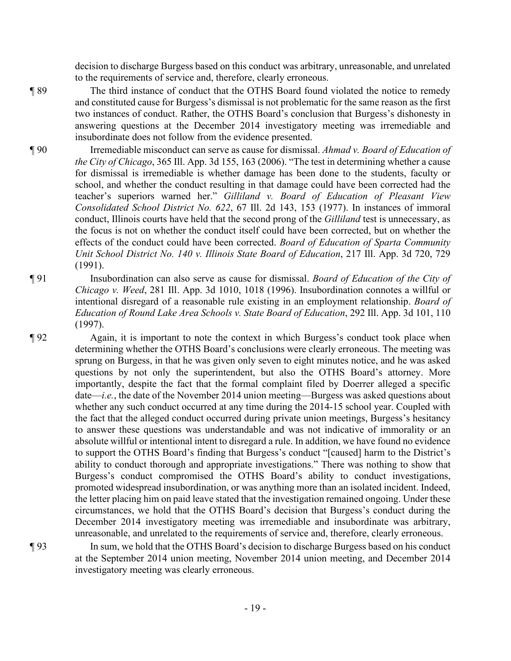decision to discharge Burgess based on this conduct was arbitrary, unreasonable, and unrelated to the requirements of service and, therefore, clearly erroneous.

¶ 89 The third instance of conduct that the OTHS Board found violated the notice to remedy and constituted cause for Burgess's dismissal is not problematic for the same reason as the first two instances of conduct. Rather, the OTHS Board's conclusion that Burgess's dishonesty in answering questions at the December 2014 investigatory meeting was irremediable and insubordinate does not follow from the evidence presented.

- ¶ 90 Irremediable misconduct can serve as cause for dismissal. *Ahmad v. Board of Education of the City of Chicago*, 365 Ill. App. 3d 155, 163 (2006). "The test in determining whether a cause for dismissal is irremediable is whether damage has been done to the students, faculty or school, and whether the conduct resulting in that damage could have been corrected had the teacher's superiors warned her." *Gilliland v. Board of Education of Pleasant View Consolidated School District No. 622*, 67 Ill. 2d 143, 153 (1977). In instances of immoral conduct, Illinois courts have held that the second prong of the *Gilliland* test is unnecessary, as the focus is not on whether the conduct itself could have been corrected, but on whether the effects of the conduct could have been corrected. *Board of Education of Sparta Community Unit School District No. 140 v. Illinois State Board of Education*, 217 Ill. App. 3d 720, 729 (1991).
- ¶ 91 Insubordination can also serve as cause for dismissal. *Board of Education of the City of Chicago v. Weed*, 281 Ill. App. 3d 1010, 1018 (1996). Insubordination connotes a willful or intentional disregard of a reasonable rule existing in an employment relationship. *Board of Education of Round Lake Area Schools v. State Board of Education*, 292 Ill. App. 3d 101, 110 (1997).

¶ 92 Again, it is important to note the context in which Burgess's conduct took place when determining whether the OTHS Board's conclusions were clearly erroneous. The meeting was sprung on Burgess, in that he was given only seven to eight minutes notice, and he was asked questions by not only the superintendent, but also the OTHS Board's attorney. More importantly, despite the fact that the formal complaint filed by Doerrer alleged a specific date—*i.e.*, the date of the November 2014 union meeting—Burgess was asked questions about whether any such conduct occurred at any time during the 2014-15 school year. Coupled with the fact that the alleged conduct occurred during private union meetings, Burgess's hesitancy to answer these questions was understandable and was not indicative of immorality or an absolute willful or intentional intent to disregard a rule. In addition, we have found no evidence to support the OTHS Board's finding that Burgess's conduct "[caused] harm to the District's ability to conduct thorough and appropriate investigations." There was nothing to show that Burgess's conduct compromised the OTHS Board's ability to conduct investigations, promoted widespread insubordination, or was anything more than an isolated incident. Indeed, the letter placing him on paid leave stated that the investigation remained ongoing. Under these circumstances, we hold that the OTHS Board's decision that Burgess's conduct during the December 2014 investigatory meeting was irremediable and insubordinate was arbitrary, unreasonable, and unrelated to the requirements of service and, therefore, clearly erroneous.

¶ 93 In sum, we hold that the OTHS Board's decision to discharge Burgess based on his conduct at the September 2014 union meeting, November 2014 union meeting, and December 2014 investigatory meeting was clearly erroneous.

- 19 -